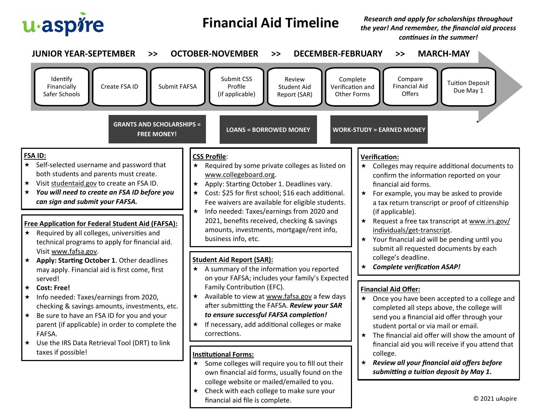

## **Financial Aid Timeline**

*Research and apply for scholarships throughout the year! And remember, the financial aid process continues in the summer!*